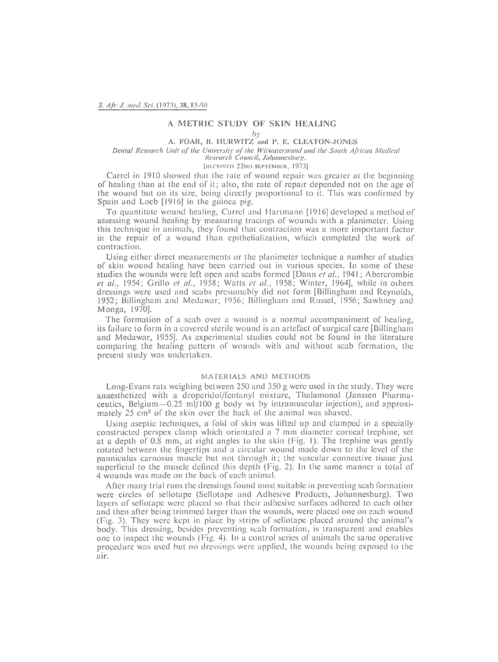# A METRIC STUDY OF SKIN HEALING

#### *by*

#### A. FOAR, B. HURWITZ and P. E. CLEATON-JONES Dental Research Unit of the University of the Witwatersrand and the South African Medical

*Research Council*, *Johannesburg.*

### **[RECEIVED** 22ND **SEPTEMBER,** 1973]

Carrel in 1910 showed that the rate of wound repair was greater at the beginning of healing than at the end of it; also, the rate of repair depended not on the age of the wound but on its size, being directly proportional to it. This was confirmed by Spain and Locb [1916] in the guinea pig.

To quantitate wound healing, Carrel and Hartmann [1916] developed a method of assessing wound healing by measuring tracings of wounds with a planimeter. Using this technique in animals, they found that contraction was a more important factor in the repair of a wound than epithelializalion, which completed the work of contraction.

Using either direct measurements or the planimeter technique a number of studies of skin wound healing have been carried out in various species. In some of these studies the wounds were left open and scabs formed [Dann *cl al.,* 1941; Abercrombie *et al.,* 1954; Grillo *cl al.,* 1958; Watts *ct al.,* 1958; Winter, 1964], while in others dressings were used and scabs presumably did not form [Billingham and Reynolds, 1952; Billingham and Medawar, 1956; Billingham and Russel, 1956; Sawhney and Monga, 1970].

The formation of a scab over a wound is a normal accompaniment of healing, its failure to form in a covered sterile wound is an artefact of surgical care [Billingham and Medawar, 1955]. As experimental studies could not be found in the literature comparing the healing pattern of wounds with and without scab formation, the present study was undertaken.

### MATERIALS AND METHODS

Long-Evans rats weighing between 250 and 350 g were used in the study. They were anaesthetized with a droperidol/fentanyl mixture, Thalamonal (Janssen Pharmaceutics, Belgium—0.25 ml/100 g body wt by intramuscular injection), and approximately 25 cm<sup>2</sup> of the skin over the back of the animal was shaved.

Using aseptic techniques, a fold of skin was lifted up and clamped in a specially constructed perspex clamp which orientated a 7 mm diameter corneal trephine, set at a depth of 0.8 mm, at right angles to the skin (Fig. 1). The trephine was gently rotated between the fingertips and a circular wound made down to the level of the panniculus carnosus muscle but not through it; the vascular connective tissue just superficial to the muscle defined this depth (Fig. 2). Jn the same manner a total of 4 wounds was made on the back of each animal.

After many trial runs the dressings found most suitable in preventing scab formation were circles of sellotape (Sellotape and Adhesive Products, Johannesburg). Two layers of sellotape were placed so that their adhesive surfaces adhered to each other and then after being trimmed larger than the wounds, were placed one on each wound (Fig. 3). They were kept in place by strips of sellotape placed around the animal's body. This dressing, besides preventing scab formation, is transparent and enables one to inspect the wounds (Fig. 4). In a control series of animals the same operative procedure was used but no dressings were applied, the wounds being exposed to the air.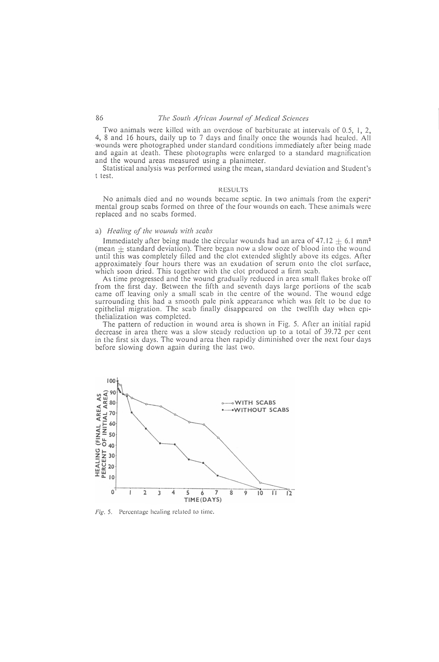# **The South African Journal of Medical Sciences**

Two animals were killed with an overdose of barbiturate at intervals of 0.5, 1, 2, 4, 8 and 16 hours, daily up to 7 days and finally once the wounds had healed. All wounds were photographed under standard conditions immediately after being made and again at death. These photographs were enlarged to a standard magnification and the wound areas measured using a planimeter.

Statistical analysis was performed using the mean, standard deviation and Student's t test.

# RESULTS

No animals died and no wounds became septic. In two animals from the experr mental group scabs formed on three of the four wounds on each. These animals were replaced and no scabs formed.

### a) *Healing of the wounds with scabs*

Immediately after being made the circular wounds had an area of  $47.12 + 6.1$  mm<sup>2</sup> (mean  $\pm$  standard deviation). There began now a slow ooze of blood into the wound until this was completely filled and the clot extended slightly above its edges. After approximately four hours there was an exudation of serum onto the clot surface, which soon dried. This together with the clot produced a firm scab.

As time progressed and the wound gradually reduced in area small flakes broke off from the first day. Between the fifth and seventh days large portions of the scab came off leaving only a small scab in the centre of the wound. The wound edge surrounding this had a smooth pale pink appearance which was felt to be due to epithelial migration. The scab finally disappeared on the twelfth day when cpithelialization was completed.

The pattern of reduction in wound area is shown in Fig. 5. After an initial rapid decrease in area there was a slow steady reduction up to a total of 39.72 per cent in the first six days. The wound area then rapidly diminished over the next four days before slowing down again during the last two.



*Fig.* 5. Percentage healing related to time.

86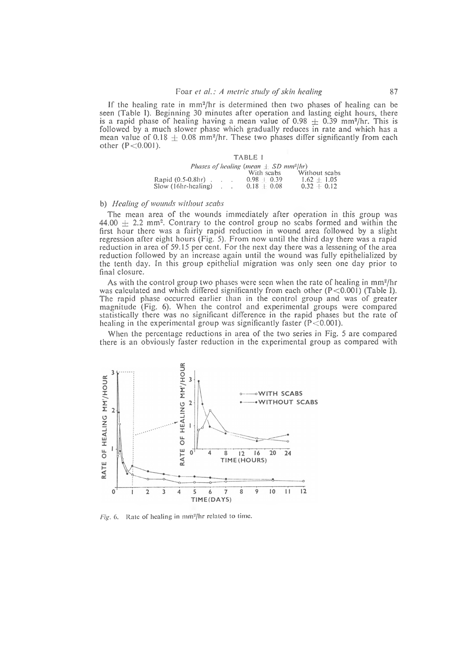Jf the healing rate in mm2/hr is determined then two phases of healing can be seen (Table I). Beginning 30 minutes after operation and lasting eight hours, there is a rapid phase of healing having a mean value of  $0.98 \pm 0.39$  mm<sup>2</sup>/hr. This is followed by a much slower phase which gradually reduces in rate and which has a mean value of  $0.18 \pm 0.08$  mm<sup>2</sup>/hr. These two phases differ significantly from each other  $(P<0.001)$ .

|                                                                       |                          |  | <b>TABLE I</b> |               |
|-----------------------------------------------------------------------|--------------------------|--|----------------|---------------|
| <i>Phases of healing (mean <math>\pm</math> SD mm<sup>2</sup>/hr)</i> |                          |  |                |               |
|                                                                       |                          |  | With scabs     | Without scabs |
| Rapid $(0.5-0.8hr)$                                                   |                          |  | $0.98 + 0.39$  | $1.62 + 1.05$ |
| Slow (16hr-healing)                                                   | <b>Contract Contract</b> |  | $0.18 + 0.08$  | $0.32 + 0.12$ |

# b) *Healing of wounds without scabs*

The mean area of the wounds immediately after operation in this group was 44.00  $\pm$  2.2 mm<sup>2</sup>. Contrary to the control group no scabs formed and within the first hour there was a fairly rapid reduction in wound area followed by a slight regression after eight hours (Fig. 5). From now until the third day there was a rapid reduction in area of 59.15 per cent. For the next day there was a lessening of the area reduction followed by an increase again until the wound was fully epithelialized by the tenth day. In this group epithelial migration was only seen one day prior to final closure.

As with the control group two phases were seen when the rate of healing in mm<sup>2</sup>/hr was calculated and which differed significantly from each other  $(P<0.001)$  (Table I). The rapid phase occurred earlier than in the control group and was of greater magnitude (Fig. 6). When the control and experimental groups were compared statistically there was no significant difference in the rapid phases but the rate of healing in the experimental group was significantly faster ( $P \le 0.001$ ).

When the percentage reductions in area of the two series in Fig. 5 are compared there is an obviously faster reduction in the experimental group as compared with



*Fig.* 6. Rate of healing in mm<sup>2</sup>/hr related to time.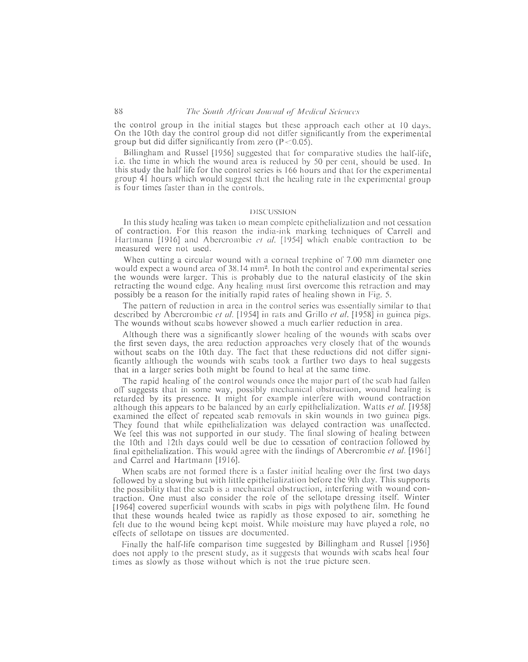the control group in the initial stages but these approach each other at 10 days. On the 10th day the control group did not differ significantly from the experimental group but did differ significantly from zero  $(P<0.05)$ .

Billingham and Russel [1956] suggested that for comparative studies the half-life, i.c. the time in which the wound area is reduced by 50 per cent, should be used. In this study the half life for the control series is 166 hours and that for the experimental group 41 hours which would suggest that the healing rate in the experimental group is four times faster than in the controls.

#### DISCUSSION

In this study healing was taken to mean complete cpithelialization and not cessation of contraction. For this reason the india-ink marking techniques of Carrcll and Hartmann [1916] and Abercrombie *ct al.* [1954] which enable contraction to be measured were not used.

When cutting a circular wound with a corneal trephine of 7.00 mm diameter one would expect a wound area of 38.14 mm2. In both the control and experimental series the wounds were larger. This is probably due to the natural elasticity of the skin retracting the wound edge. Any healing must first overcome this retraction and may possibly be a reason for the initially rapid rates of healing shown in Fig. 5.

The pattern of reduction in area in the control series was essentially similar to that described by Abercrombie *ct al.* [1954] in rats and Grillo *ct al.* [1958] in guinea pigs. The wounds without scabs however showed a much earlier reduction in area.

Although there was a significantly slower healing of the wounds with scabs over the first seven days, the area reduction approaches very closely that of the wounds without scabs on the 10th day. The fact that these reductions did not differ significantly although the wounds with scabs took a further two days to heal suggests that in a larger scries both might be found to heal at the same time.

The rapid healing of the control wounds once the major part of the scab had fallen off suggests that in some way, possibly mechanical obstruction, wound healing is retarded by its presence. It might for example interfere with wound contraction although this appears to be balanced by an early cpithelialization. Watts *et al.* [1958] examined the effect of repeated scab removals in skin wounds in two guinea pigs. They found that while cpithelialization was delayed contraction was unaffected. We feel this was not supported in our study. The final slowing of healing between the 10th and 12th days could well be due to cessation of contraction followed by final cpithelialization. This would agree with the findings of Abercrombie *ct al.* [1961] and Carrel and Hartmann [1916].

When scabs arc not formed there is a faster initial healing over the first two days followed by a slowing but with little cpithelialization before the 9th day. This supports the possibility that the scab is a mechanical obstruction, interfering with wound contraction. One must also consider the role of the sellotapc dressing itself. Winter [1964] covered superficial wounds with scabs in pigs with polythene film. He found that these wounds healed twice as rapidly as those exposed to air, something he felt due to the wound being kept moist. While moisture may have played a role, no effects of sellotapc on tissues arc documented.

Finally the half-life comparison time suggested by Billingham and Russel [1956] docs not apply to the present study, as it suggests that wounds with scabs heal four times as slowly as those without which is not the true picture seen.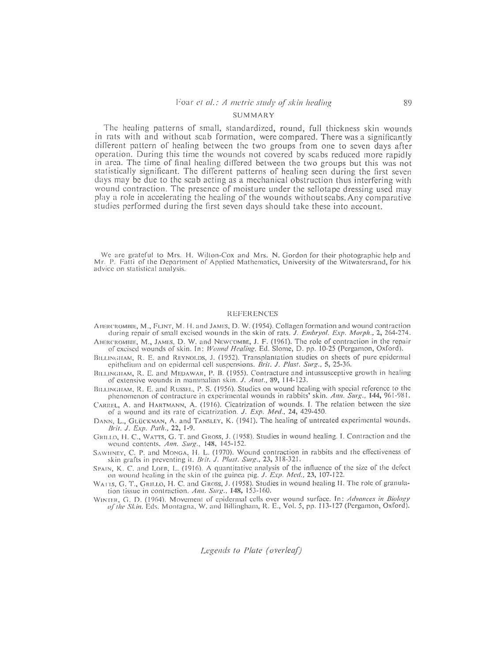# **SUMMARY**

The healing patterns of small, standardized, round, full thickness skin wounds in rats with and without scab formation, were compared. There was a significantly different pattern of healing between the two groups from one to seven days after operation. During this time the wounds not covered by scabs reduced more rapidly in area. The time of final healing differed between the two groups but this was not statistically significant. The different patterns of healing seen during the first seven days may be due to the scab acting as a mechanical obstruction thus interfering with wound contraction. The presence of moisture under the sellotape dressing used may play a role in accelerating the healing of the wounds withoutscabs. Any comparative studies performed during the first seven days should take these into account.

Wc arc grateful to Mrs. H. Wilton-Cox and Mrs. N. Gordon for their photographic help and Mr. P. Fatti of the Department of Applied Mathematics, University of the Witwatcrsrand, for his advice on statistical analysis.

#### REFERENCES

- **A bercrombie,** M., **Flint,** M. H. and **James,** D. W. (1954). Collagen formation and wound contraction during repair of small excised wounds in the skin of rats. *J. Embryol. Exp. Morph.,* 2, 264-274.
- **A bercrombie,** M., **James,** D. W. and **N hwcombe, J.** F. (1961). The role of contraction in the repair of excised wounds of skin. In: *Wound Healing.* Ed. Slome, D. pp. 10-25 (Pergamon, Oxford).
- BILLINGHAM, R. E. and REYNOLDS, J. (1952). Transplantation studies on sheets of pure epidermal epithelium and on epidermal cell suspensions. *Brit. J. Ptast. Surg.,* 5, 25-36.
- **Dillingham,** R. E. and **Medawar,** P. D. (1955). Contracture and intussusccptivc growth in healing of extensive wounds in mammalian skin. *J. Anat.,* 89, 114-123.
- **Dillingham,** R. E. and **Russel,** P. S. (1956). Studies on wound healing with special reference to the phenomenon of contracture in experimental wounds in rabbits' skin. *Ann. Surg.,* 144, 961-981.
- **Carrel,** A. and **Hartmann,** A. (1916). Cicatrization of wounds. I. The relation between the size of a wound and its rate of cicatrization. *J. Exp. Med.,* 24, 429-450.
- **D ann,** L., **G luckman,** A. and **T ansley,** K. (1941). The healing of untreated experimental wounds. *Brit. J. Exp. Path.,* 22, 1-9.
- **G rillo,** H. C , **Watts,** G. T. and **G ross,** J. (1958). Studies in wound healing. I. Contraction and the wound contents. *Ann. Surg.,* 148, 145-152.
- **Sawiiney,** C. P. and **Monga,** H. L. (1970). Wound contraction in rabbits and the effectiveness of skin grafts in preventing it. *Brit. J. Ptast. Surg.,* 23, 318-321.
- Spain, K. C. and Loeb, L. (1916). A quantitative analysis of the influence of the size of the defect on wound healing in the skin of the guinea pig. *J. Exp. Med.,* 23, 107-122.
- **Wa its,** G. T., **G rillo,** H. C. and **G ross,** J. (1958). Studies in wound healing II. The role of granulation tissue in contraction. *Ami. Surg.,* 148, 153-160.
- **Winter,** G. D. (1964). Movement of epidermal cells over wound surface. In: *Advances in Biology o f the Shin.* Eds. Montagna, W. and Dillingham, R. E., Vol. 5, pp. 113-127 (Pergamon, Oxford).

*Legends to Plate (overleaf)*